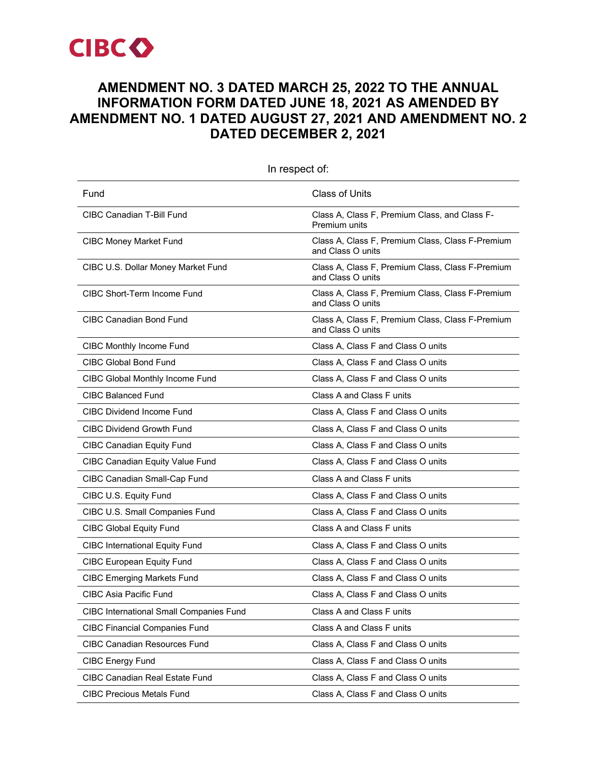

# **AMENDMENT NO. 3 DATED MARCH 25, 2022 TO THE ANNUAL INFORMATION FORM DATED JUNE 18, 2021 AS AMENDED BY AMENDMENT NO. 1 DATED AUGUST 27, 2021 AND AMENDMENT NO. 2 DATED DECEMBER 2, 2021**

| Fund                                           | <b>Class of Units</b>                                                 |
|------------------------------------------------|-----------------------------------------------------------------------|
| CIBC Canadian T-Bill Fund                      | Class A, Class F, Premium Class, and Class F-<br>Premium units        |
| <b>CIBC Money Market Fund</b>                  | Class A, Class F, Premium Class, Class F-Premium<br>and Class O units |
| CIBC U.S. Dollar Money Market Fund             | Class A, Class F, Premium Class, Class F-Premium<br>and Class O units |
| CIBC Short-Term Income Fund                    | Class A, Class F, Premium Class, Class F-Premium<br>and Class O units |
| <b>CIBC Canadian Bond Fund</b>                 | Class A, Class F, Premium Class, Class F-Premium<br>and Class O units |
| <b>CIBC Monthly Income Fund</b>                | Class A, Class F and Class O units                                    |
| <b>CIBC Global Bond Fund</b>                   | Class A, Class F and Class O units                                    |
| CIBC Global Monthly Income Fund                | Class A, Class F and Class O units                                    |
| CIBC Balanced Fund                             | Class A and Class F units                                             |
| <b>CIBC Dividend Income Fund</b>               | Class A, Class F and Class O units                                    |
| <b>CIBC Dividend Growth Fund</b>               | Class A, Class F and Class O units                                    |
| <b>CIBC Canadian Equity Fund</b>               | Class A, Class F and Class O units                                    |
| <b>CIBC Canadian Equity Value Fund</b>         | Class A, Class F and Class O units                                    |
| CIBC Canadian Small-Cap Fund                   | Class A and Class F units                                             |
| CIBC U.S. Equity Fund                          | Class A, Class F and Class O units                                    |
| CIBC U.S. Small Companies Fund                 | Class A, Class F and Class O units                                    |
| <b>CIBC Global Equity Fund</b>                 | Class A and Class F units                                             |
| <b>CIBC International Equity Fund</b>          | Class A, Class F and Class O units                                    |
| <b>CIBC European Equity Fund</b>               | Class A, Class F and Class O units                                    |
| <b>CIBC Emerging Markets Fund</b>              | Class A, Class F and Class O units                                    |
| <b>CIBC Asia Pacific Fund</b>                  | Class A, Class F and Class O units                                    |
| <b>CIBC International Small Companies Fund</b> | Class A and Class F units                                             |
| <b>CIBC Financial Companies Fund</b>           | Class A and Class F units                                             |
| <b>CIBC Canadian Resources Fund</b>            | Class A, Class F and Class O units                                    |
| <b>CIBC Energy Fund</b>                        | Class A, Class F and Class O units                                    |
| <b>CIBC Canadian Real Estate Fund</b>          | Class A, Class F and Class O units                                    |
| <b>CIBC Precious Metals Fund</b>               | Class A, Class F and Class O units                                    |

In respect of: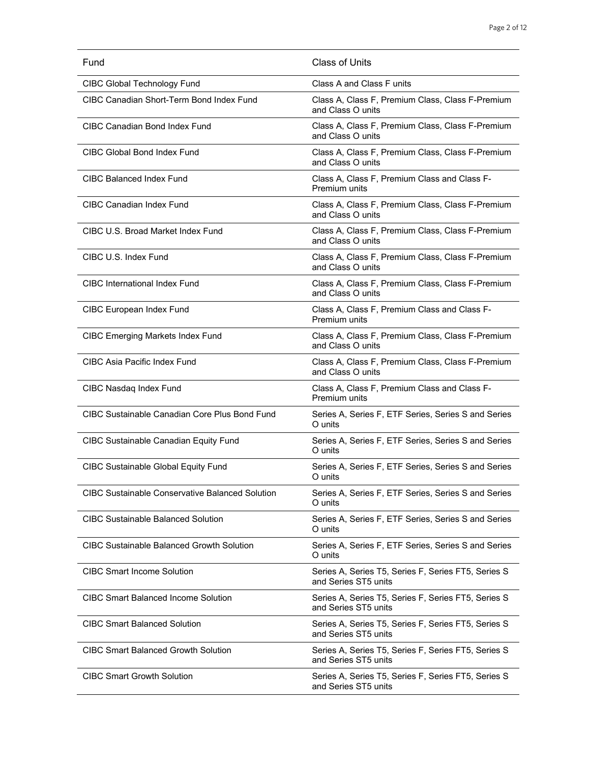| Fund                                                   | Class of Units                                                              |
|--------------------------------------------------------|-----------------------------------------------------------------------------|
| CIBC Global Technology Fund                            | Class A and Class F units                                                   |
| CIBC Canadian Short-Term Bond Index Fund               | Class A, Class F, Premium Class, Class F-Premium<br>and Class O units       |
| <b>CIBC Canadian Bond Index Fund</b>                   | Class A, Class F, Premium Class, Class F-Premium<br>and Class O units       |
| CIBC Global Bond Index Fund                            | Class A, Class F, Premium Class, Class F-Premium<br>and Class O units       |
| CIBC Balanced Index Fund                               | Class A, Class F, Premium Class and Class F-<br>Premium units               |
| CIBC Canadian Index Fund                               | Class A, Class F, Premium Class, Class F-Premium<br>and Class O units       |
| CIBC U.S. Broad Market Index Fund                      | Class A, Class F, Premium Class, Class F-Premium<br>and Class O units       |
| CIBC U.S. Index Fund                                   | Class A, Class F, Premium Class, Class F-Premium<br>and Class O units       |
| <b>CIBC</b> International Index Fund                   | Class A, Class F, Premium Class, Class F-Premium<br>and Class O units       |
| <b>CIBC European Index Fund</b>                        | Class A, Class F, Premium Class and Class F-<br>Premium units               |
| <b>CIBC Emerging Markets Index Fund</b>                | Class A, Class F, Premium Class, Class F-Premium<br>and Class O units       |
| CIBC Asia Pacific Index Fund                           | Class A, Class F, Premium Class, Class F-Premium<br>and Class O units       |
| CIBC Nasdaq Index Fund                                 | Class A, Class F, Premium Class and Class F-<br>Premium units               |
| CIBC Sustainable Canadian Core Plus Bond Fund          | Series A, Series F, ETF Series, Series S and Series<br>O units              |
| <b>CIBC Sustainable Canadian Equity Fund</b>           | Series A, Series F, ETF Series, Series S and Series<br>O units              |
| <b>CIBC Sustainable Global Equity Fund</b>             | Series A, Series F, ETF Series, Series S and Series<br>O units              |
| <b>CIBC Sustainable Conservative Balanced Solution</b> | Series A, Series F, ETF Series, Series S and Series<br>O units              |
| <b>CIBC Sustainable Balanced Solution</b>              | Series A, Series F, ETF Series, Series S and Series<br>O units              |
| CIBC Sustainable Balanced Growth Solution              | Series A, Series F, ETF Series, Series S and Series<br>O units              |
| <b>CIBC Smart Income Solution</b>                      | Series A, Series T5, Series F, Series FT5, Series S<br>and Series ST5 units |
| <b>CIBC Smart Balanced Income Solution</b>             | Series A, Series T5, Series F, Series FT5, Series S<br>and Series ST5 units |
| <b>CIBC Smart Balanced Solution</b>                    | Series A, Series T5, Series F, Series FT5, Series S<br>and Series ST5 units |
| <b>CIBC Smart Balanced Growth Solution</b>             | Series A, Series T5, Series F, Series FT5, Series S<br>and Series ST5 units |
| <b>CIBC Smart Growth Solution</b>                      | Series A, Series T5, Series F, Series FT5, Series S<br>and Series ST5 units |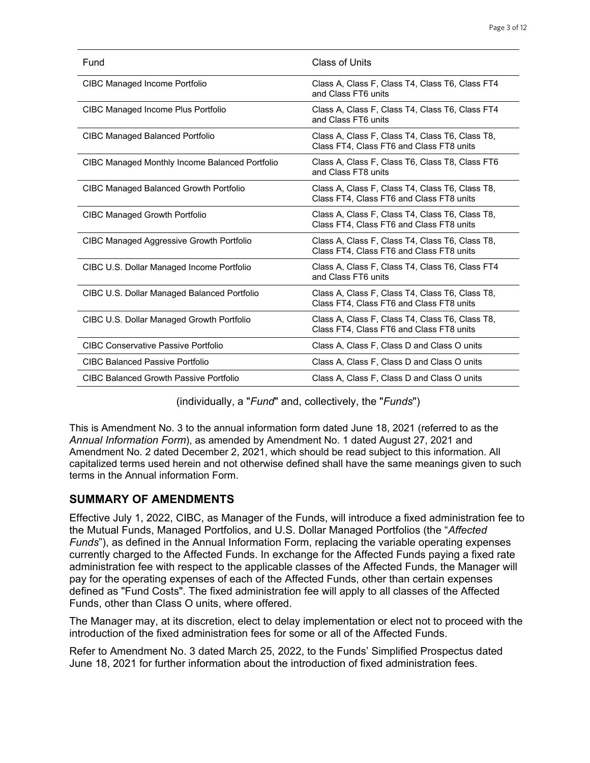| Fund                                            | Class of Units                                                                              |
|-------------------------------------------------|---------------------------------------------------------------------------------------------|
| <b>CIBC Managed Income Portfolio</b>            | Class A, Class F, Class T4, Class T6, Class FT4<br>and Class FT6 units                      |
| CIBC Managed Income Plus Portfolio              | Class A, Class F, Class T4, Class T6, Class FT4<br>and Class FT6 units                      |
| CIBC Managed Balanced Portfolio                 | Class A, Class F, Class T4, Class T6, Class T8,<br>Class FT4, Class FT6 and Class FT8 units |
| CIBC Managed Monthly Income Balanced Portfolio  | Class A, Class F, Class T6, Class T8, Class FT6<br>and Class FT8 units                      |
| <b>CIBC Managed Balanced Growth Portfolio</b>   | Class A, Class F, Class T4, Class T6, Class T8,<br>Class FT4, Class FT6 and Class FT8 units |
| <b>CIBC Managed Growth Portfolio</b>            | Class A, Class F, Class T4, Class T6, Class T8,<br>Class FT4, Class FT6 and Class FT8 units |
| <b>CIBC Managed Aggressive Growth Portfolio</b> | Class A, Class F, Class T4, Class T6, Class T8,<br>Class FT4, Class FT6 and Class FT8 units |
| CIBC U.S. Dollar Managed Income Portfolio       | Class A, Class F, Class T4, Class T6, Class FT4<br>and Class FT6 units                      |
| CIBC U.S. Dollar Managed Balanced Portfolio     | Class A, Class F, Class T4, Class T6, Class T8,<br>Class FT4, Class FT6 and Class FT8 units |
| CIBC U.S. Dollar Managed Growth Portfolio       | Class A, Class F, Class T4, Class T6, Class T8,<br>Class FT4, Class FT6 and Class FT8 units |
| <b>CIBC Conservative Passive Portfolio</b>      | Class A, Class F, Class D and Class O units                                                 |
| <b>CIBC Balanced Passive Portfolio</b>          | Class A, Class F, Class D and Class O units                                                 |
| <b>CIBC Balanced Growth Passive Portfolio</b>   | Class A, Class F, Class D and Class O units                                                 |

(individually, a "*Fund*" and, collectively, the "*Funds*")

This is Amendment No. 3 to the annual information form dated June 18, 2021 (referred to as the *Annual Information Form*), as amended by Amendment No. 1 dated August 27, 2021 and Amendment No. 2 dated December 2, 2021, which should be read subject to this information. All capitalized terms used herein and not otherwise defined shall have the same meanings given to such terms in the Annual information Form.

### **SUMMARY OF AMENDMENTS**

Effective July 1, 2022, CIBC, as Manager of the Funds, will introduce a fixed administration fee to the Mutual Funds, Managed Portfolios, and U.S. Dollar Managed Portfolios (the "*Affected Funds*"), as defined in the Annual Information Form, replacing the variable operating expenses currently charged to the Affected Funds. In exchange for the Affected Funds paying a fixed rate administration fee with respect to the applicable classes of the Affected Funds, the Manager will pay for the operating expenses of each of the Affected Funds, other than certain expenses defined as "Fund Costs". The fixed administration fee will apply to all classes of the Affected Funds, other than Class O units, where offered.

The Manager may, at its discretion, elect to delay implementation or elect not to proceed with the introduction of the fixed administration fees for some or all of the Affected Funds.

Refer to Amendment No. 3 dated March 25, 2022, to the Funds' Simplified Prospectus dated June 18, 2021 for further information about the introduction of fixed administration fees.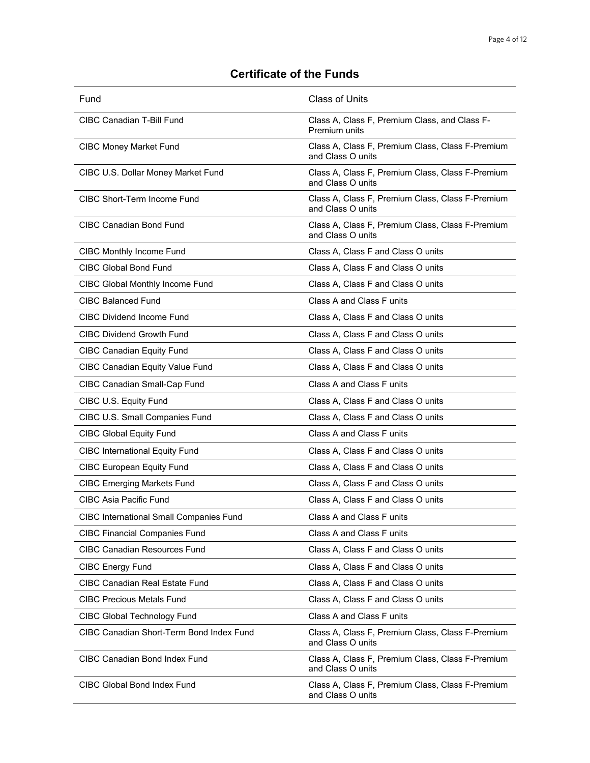## **Certificate of the Funds**

| Fund                                           | <b>Class of Units</b>                                                 |
|------------------------------------------------|-----------------------------------------------------------------------|
| CIBC Canadian T-Bill Fund                      | Class A, Class F, Premium Class, and Class F-<br>Premium units        |
| <b>CIBC Money Market Fund</b>                  | Class A, Class F, Premium Class, Class F-Premium<br>and Class O units |
| CIBC U.S. Dollar Money Market Fund             | Class A, Class F, Premium Class, Class F-Premium<br>and Class O units |
| <b>CIBC Short-Term Income Fund</b>             | Class A, Class F, Premium Class, Class F-Premium<br>and Class O units |
| <b>CIBC Canadian Bond Fund</b>                 | Class A, Class F, Premium Class, Class F-Premium<br>and Class O units |
| <b>CIBC Monthly Income Fund</b>                | Class A, Class F and Class O units                                    |
| <b>CIBC Global Bond Fund</b>                   | Class A, Class F and Class O units                                    |
| CIBC Global Monthly Income Fund                | Class A, Class F and Class O units                                    |
| <b>CIBC Balanced Fund</b>                      | Class A and Class F units                                             |
| CIBC Dividend Income Fund                      | Class A, Class F and Class O units                                    |
| <b>CIBC Dividend Growth Fund</b>               | Class A, Class F and Class O units                                    |
| <b>CIBC Canadian Equity Fund</b>               | Class A, Class F and Class O units                                    |
| <b>CIBC Canadian Equity Value Fund</b>         | Class A, Class F and Class O units                                    |
| CIBC Canadian Small-Cap Fund                   | Class A and Class F units                                             |
| CIBC U.S. Equity Fund                          | Class A, Class F and Class O units                                    |
| CIBC U.S. Small Companies Fund                 | Class A, Class F and Class O units                                    |
| <b>CIBC Global Equity Fund</b>                 | Class A and Class F units                                             |
| <b>CIBC International Equity Fund</b>          | Class A, Class F and Class O units                                    |
| <b>CIBC European Equity Fund</b>               | Class A, Class F and Class O units                                    |
| <b>CIBC Emerging Markets Fund</b>              | Class A, Class F and Class O units                                    |
| CIBC Asia Pacific Fund                         | Class A, Class F and Class O units                                    |
| <b>CIBC International Small Companies Fund</b> | Class A and Class F units                                             |
| <b>CIBC Financial Companies Fund</b>           | Class A and Class F units                                             |
| <b>CIBC Canadian Resources Fund</b>            | Class A, Class F and Class O units                                    |
| <b>CIBC Energy Fund</b>                        | Class A, Class F and Class O units                                    |
| <b>CIBC Canadian Real Estate Fund</b>          | Class A, Class F and Class O units                                    |
| <b>CIBC Precious Metals Fund</b>               | Class A, Class F and Class O units                                    |
| CIBC Global Technology Fund                    | Class A and Class F units                                             |
| CIBC Canadian Short-Term Bond Index Fund       | Class A, Class F, Premium Class, Class F-Premium<br>and Class O units |
| CIBC Canadian Bond Index Fund                  | Class A, Class F, Premium Class, Class F-Premium<br>and Class O units |
| CIBC Global Bond Index Fund                    | Class A, Class F, Premium Class, Class F-Premium<br>and Class O units |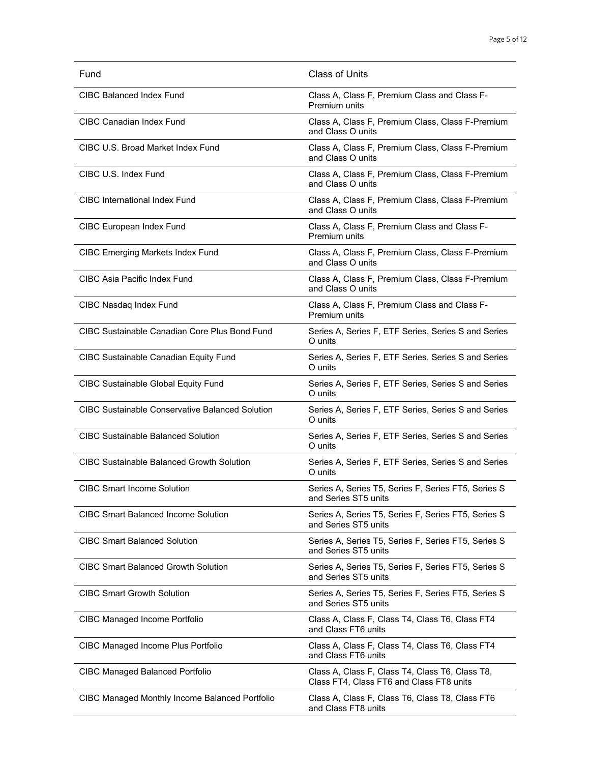| Fund                                                   | <b>Class of Units</b>                                                                       |
|--------------------------------------------------------|---------------------------------------------------------------------------------------------|
| CIBC Balanced Index Fund                               | Class A, Class F, Premium Class and Class F-<br>Premium units                               |
| CIBC Canadian Index Fund                               | Class A, Class F, Premium Class, Class F-Premium<br>and Class O units                       |
| CIBC U.S. Broad Market Index Fund                      | Class A, Class F, Premium Class, Class F-Premium<br>and Class O units                       |
| CIBC U.S. Index Fund                                   | Class A, Class F, Premium Class, Class F-Premium<br>and Class O units                       |
| CIBC International Index Fund                          | Class A, Class F, Premium Class, Class F-Premium<br>and Class O units                       |
| <b>CIBC European Index Fund</b>                        | Class A, Class F, Premium Class and Class F-<br>Premium units                               |
| <b>CIBC Emerging Markets Index Fund</b>                | Class A, Class F, Premium Class, Class F-Premium<br>and Class O units                       |
| <b>CIBC Asia Pacific Index Fund</b>                    | Class A, Class F, Premium Class, Class F-Premium<br>and Class O units                       |
| CIBC Nasdaq Index Fund                                 | Class A, Class F, Premium Class and Class F-<br>Premium units                               |
| CIBC Sustainable Canadian Core Plus Bond Fund          | Series A, Series F, ETF Series, Series S and Series<br>O units                              |
| <b>CIBC Sustainable Canadian Equity Fund</b>           | Series A, Series F, ETF Series, Series S and Series<br>O units                              |
| <b>CIBC Sustainable Global Equity Fund</b>             | Series A, Series F, ETF Series, Series S and Series<br>O units                              |
| <b>CIBC Sustainable Conservative Balanced Solution</b> | Series A, Series F, ETF Series, Series S and Series<br>O units                              |
| CIBC Sustainable Balanced Solution                     | Series A, Series F, ETF Series, Series S and Series<br>O units                              |
| <b>CIBC Sustainable Balanced Growth Solution</b>       | Series A, Series F, ETF Series, Series S and Series<br>O units                              |
| <b>CIBC Smart Income Solution</b>                      | Series A, Series T5, Series F, Series FT5, Series S<br>and Series ST5 units                 |
| CIBC Smart Balanced Income Solution                    | Series A, Series T5, Series F, Series FT5, Series S<br>and Series ST5 units                 |
| <b>CIBC Smart Balanced Solution</b>                    | Series A, Series T5, Series F, Series FT5, Series S<br>and Series ST5 units                 |
| <b>CIBC Smart Balanced Growth Solution</b>             | Series A, Series T5, Series F, Series FT5, Series S<br>and Series ST5 units                 |
| <b>CIBC Smart Growth Solution</b>                      | Series A, Series T5, Series F, Series FT5, Series S<br>and Series ST5 units                 |
| <b>CIBC Managed Income Portfolio</b>                   | Class A, Class F, Class T4, Class T6, Class FT4<br>and Class FT6 units                      |
| CIBC Managed Income Plus Portfolio                     | Class A, Class F, Class T4, Class T6, Class FT4<br>and Class FT6 units                      |
| <b>CIBC Managed Balanced Portfolio</b>                 | Class A, Class F, Class T4, Class T6, Class T8,<br>Class FT4, Class FT6 and Class FT8 units |
| CIBC Managed Monthly Income Balanced Portfolio         | Class A, Class F, Class T6, Class T8, Class FT6<br>and Class FT8 units                      |
|                                                        |                                                                                             |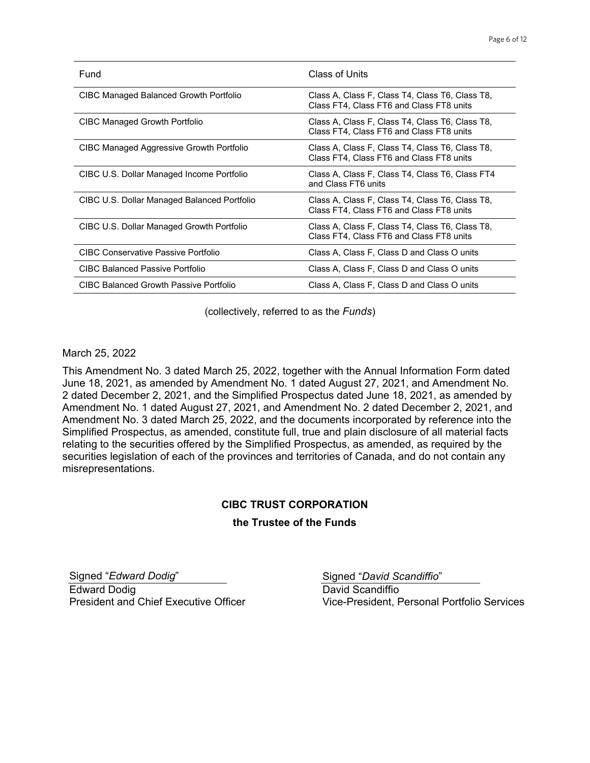| Fund                                        | Class of Units                                                                              |
|---------------------------------------------|---------------------------------------------------------------------------------------------|
| CIBC Managed Balanced Growth Portfolio      | Class A, Class F, Class T4, Class T6, Class T8,<br>Class FT4, Class FT6 and Class FT8 units |
| CIBC Managed Growth Portfolio               | Class A, Class F, Class T4, Class T6, Class T8,<br>Class FT4, Class FT6 and Class FT8 units |
| CIBC Managed Aggressive Growth Portfolio    | Class A, Class F, Class T4, Class T6, Class T8,<br>Class FT4, Class FT6 and Class FT8 units |
| CIBC U.S. Dollar Managed Income Portfolio   | Class A, Class F, Class T4, Class T6, Class FT4<br>and Class FT6 units                      |
| CIBC U.S. Dollar Managed Balanced Portfolio | Class A, Class F, Class T4, Class T6, Class T8,<br>Class FT4, Class FT6 and Class FT8 units |
| CIBC U.S. Dollar Managed Growth Portfolio   | Class A, Class F, Class T4, Class T6, Class T8,<br>Class FT4, Class FT6 and Class FT8 units |
| CIBC Conservative Passive Portfolio         | Class A, Class F, Class D and Class O units                                                 |
| <b>CIBC Balanced Passive Portfolio</b>      | Class A, Class F, Class D and Class O units                                                 |
| CIBC Balanced Growth Passive Portfolio      | Class A, Class F, Class D and Class O units                                                 |

(collectively, referred to as the *Funds*)

March 25, 2022

This Amendment No. 3 dated March 25, 2022, together with the Annual Information Form dated June 18, 2021, as amended by Amendment No. 1 dated August 27, 2021, and Amendment No. 2 dated December 2, 2021, and the Simplified Prospectus dated June 18, 2021, as amended by Amendment No. 1 dated August 27, 2021, and Amendment No. 2 dated December 2, 2021, and Amendment No. 3 dated March 25, 2022, and the documents incorporated by reference into the Simplified Prospectus, as amended, constitute full, true and plain disclosure of all material facts relating to the securities offered by the Simplified Prospectus, as amended, as required by the securities legislation of each of the provinces and territories of Canada, and do not contain any misrepresentations.

#### **CIBC TRUST CORPORATION**

#### **the Trustee of the Funds**

Signed "*Edward Dodig*" Edward Dodig President and Chief Executive Officer Signed "*David Scandiffio*"

David Scandiffio Vice-President, Personal Portfolio Services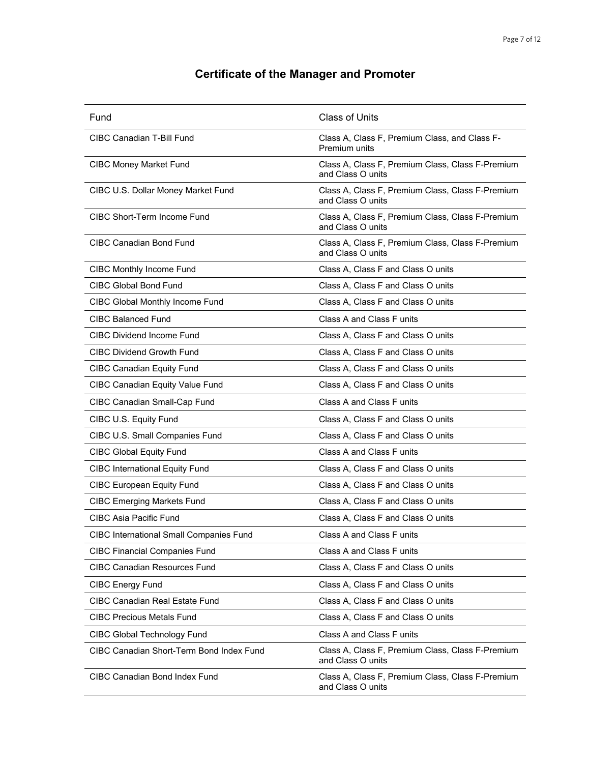# **Certificate of the Manager and Promoter**

| Fund                                     | <b>Class of Units</b>                                                 |
|------------------------------------------|-----------------------------------------------------------------------|
| <b>CIBC Canadian T-Bill Fund</b>         | Class A, Class F, Premium Class, and Class F-<br>Premium units        |
| <b>CIBC Money Market Fund</b>            | Class A, Class F, Premium Class, Class F-Premium<br>and Class O units |
| CIBC U.S. Dollar Money Market Fund       | Class A, Class F, Premium Class, Class F-Premium<br>and Class O units |
| CIBC Short-Term Income Fund              | Class A, Class F, Premium Class, Class F-Premium<br>and Class O units |
| <b>CIBC Canadian Bond Fund</b>           | Class A, Class F, Premium Class, Class F-Premium<br>and Class O units |
| <b>CIBC Monthly Income Fund</b>          | Class A, Class F and Class O units                                    |
| <b>CIBC Global Bond Fund</b>             | Class A, Class F and Class O units                                    |
| CIBC Global Monthly Income Fund          | Class A, Class F and Class O units                                    |
| <b>CIBC Balanced Fund</b>                | Class A and Class F units                                             |
| <b>CIBC Dividend Income Fund</b>         | Class A, Class F and Class O units                                    |
| <b>CIBC Dividend Growth Fund</b>         | Class A, Class F and Class O units                                    |
| <b>CIBC Canadian Equity Fund</b>         | Class A, Class F and Class O units                                    |
| <b>CIBC Canadian Equity Value Fund</b>   | Class A, Class F and Class O units                                    |
| CIBC Canadian Small-Cap Fund             | Class A and Class F units                                             |
| CIBC U.S. Equity Fund                    | Class A, Class F and Class O units                                    |
| CIBC U.S. Small Companies Fund           | Class A, Class F and Class O units                                    |
| <b>CIBC Global Equity Fund</b>           | Class A and Class F units                                             |
| <b>CIBC International Equity Fund</b>    | Class A, Class F and Class O units                                    |
| <b>CIBC European Equity Fund</b>         | Class A, Class F and Class O units                                    |
| <b>CIBC Emerging Markets Fund</b>        | Class A, Class F and Class O units                                    |
| <b>CIBC Asia Pacific Fund</b>            | Class A, Class F and Class O units                                    |
| CIBC International Small Companies Fund  | Class A and Class F units                                             |
| <b>CIBC Financial Companies Fund</b>     | Class A and Class F units                                             |
| <b>CIBC Canadian Resources Fund</b>      | Class A, Class F and Class O units                                    |
| <b>CIBC Energy Fund</b>                  | Class A, Class F and Class O units                                    |
| <b>CIBC Canadian Real Estate Fund</b>    | Class A, Class F and Class O units                                    |
| <b>CIBC Precious Metals Fund</b>         | Class A, Class F and Class O units                                    |
| CIBC Global Technology Fund              | Class A and Class F units                                             |
| CIBC Canadian Short-Term Bond Index Fund | Class A, Class F, Premium Class, Class F-Premium<br>and Class O units |
| CIBC Canadian Bond Index Fund            | Class A, Class F, Premium Class, Class F-Premium<br>and Class O units |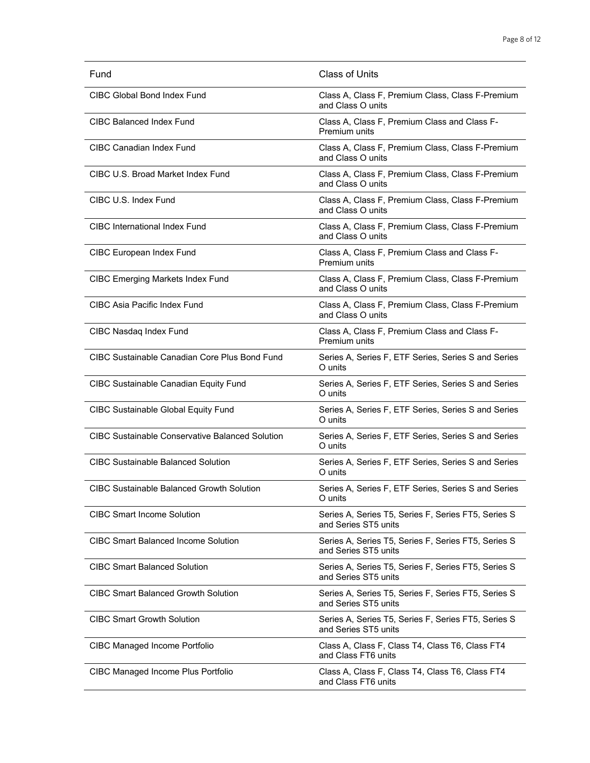| Fund                                                   | <b>Class of Units</b>                                                       |
|--------------------------------------------------------|-----------------------------------------------------------------------------|
| CIBC Global Bond Index Fund                            | Class A, Class F, Premium Class, Class F-Premium<br>and Class O units       |
| CIBC Balanced Index Fund                               | Class A, Class F, Premium Class and Class F-<br>Premium units               |
| <b>CIBC Canadian Index Fund</b>                        | Class A, Class F, Premium Class, Class F-Premium<br>and Class O units       |
| CIBC U.S. Broad Market Index Fund                      | Class A, Class F, Premium Class, Class F-Premium<br>and Class O units       |
| CIBC U.S. Index Fund                                   | Class A, Class F, Premium Class, Class F-Premium<br>and Class O units       |
| <b>CIBC</b> International Index Fund                   | Class A, Class F, Premium Class, Class F-Premium<br>and Class O units       |
| <b>CIBC European Index Fund</b>                        | Class A, Class F, Premium Class and Class F-<br>Premium units               |
| <b>CIBC Emerging Markets Index Fund</b>                | Class A, Class F, Premium Class, Class F-Premium<br>and Class O units       |
| CIBC Asia Pacific Index Fund                           | Class A, Class F, Premium Class, Class F-Premium<br>and Class O units       |
| CIBC Nasdaq Index Fund                                 | Class A, Class F, Premium Class and Class F-<br>Premium units               |
| CIBC Sustainable Canadian Core Plus Bond Fund          | Series A, Series F, ETF Series, Series S and Series<br>O units              |
| <b>CIBC Sustainable Canadian Equity Fund</b>           | Series A, Series F, ETF Series, Series S and Series<br>O units              |
| <b>CIBC Sustainable Global Equity Fund</b>             | Series A, Series F, ETF Series, Series S and Series<br>O units              |
| <b>CIBC Sustainable Conservative Balanced Solution</b> | Series A, Series F, ETF Series, Series S and Series<br>O units              |
| <b>CIBC Sustainable Balanced Solution</b>              | Series A, Series F, ETF Series, Series S and Series<br>O units              |
| CIBC Sustainable Balanced Growth Solution              | Series A, Series F, ETF Series, Series S and Series<br>O units              |
| <b>CIBC Smart Income Solution</b>                      | Series A, Series T5, Series F, Series FT5, Series S<br>and Series ST5 units |
| <b>CIBC Smart Balanced Income Solution</b>             | Series A, Series T5, Series F, Series FT5, Series S<br>and Series ST5 units |
| <b>CIBC Smart Balanced Solution</b>                    | Series A, Series T5, Series F, Series FT5, Series S<br>and Series ST5 units |
| <b>CIBC Smart Balanced Growth Solution</b>             | Series A, Series T5, Series F, Series FT5, Series S<br>and Series ST5 units |
| <b>CIBC Smart Growth Solution</b>                      | Series A, Series T5, Series F, Series FT5, Series S<br>and Series ST5 units |
| CIBC Managed Income Portfolio                          | Class A, Class F, Class T4, Class T6, Class FT4<br>and Class FT6 units      |
| CIBC Managed Income Plus Portfolio                     | Class A, Class F, Class T4, Class T6, Class FT4<br>and Class FT6 units      |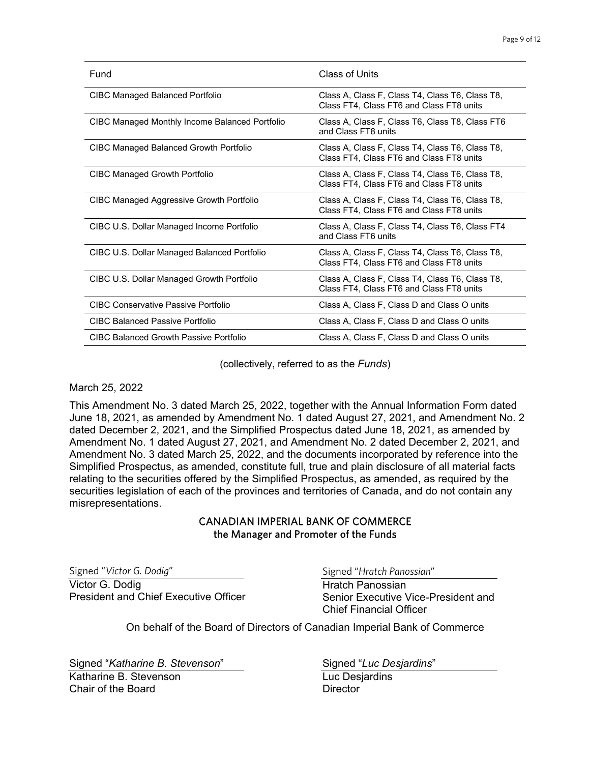| Fund                                           | Class of Units                                                                              |
|------------------------------------------------|---------------------------------------------------------------------------------------------|
| CIBC Managed Balanced Portfolio                | Class A, Class F, Class T4, Class T6, Class T8,<br>Class FT4, Class FT6 and Class FT8 units |
| CIBC Managed Monthly Income Balanced Portfolio | Class A, Class F, Class T6, Class T8, Class FT6<br>and Class FT8 units                      |
| CIBC Managed Balanced Growth Portfolio         | Class A, Class F, Class T4, Class T6, Class T8,<br>Class FT4, Class FT6 and Class FT8 units |
| <b>CIBC Managed Growth Portfolio</b>           | Class A, Class F, Class T4, Class T6, Class T8,<br>Class FT4, Class FT6 and Class FT8 units |
| CIBC Managed Aggressive Growth Portfolio       | Class A, Class F, Class T4, Class T6, Class T8,<br>Class FT4, Class FT6 and Class FT8 units |
| CIBC U.S. Dollar Managed Income Portfolio      | Class A, Class F, Class T4, Class T6, Class FT4<br>and Class FT6 units                      |
| CIBC U.S. Dollar Managed Balanced Portfolio    | Class A, Class F, Class T4, Class T6, Class T8,<br>Class FT4, Class FT6 and Class FT8 units |
| CIBC U.S. Dollar Managed Growth Portfolio      | Class A, Class F, Class T4, Class T6, Class T8,<br>Class FT4, Class FT6 and Class FT8 units |
| CIBC Conservative Passive Portfolio            | Class A, Class F, Class D and Class O units                                                 |
| <b>CIBC Balanced Passive Portfolio</b>         | Class A, Class F, Class D and Class O units                                                 |
| <b>CIBC Balanced Growth Passive Portfolio</b>  | Class A, Class F, Class D and Class O units                                                 |

(collectively, referred to as the *Funds*)

#### March 25, 2022

This Amendment No. 3 dated March 25, 2022, together with the Annual Information Form dated June 18, 2021, as amended by Amendment No. 1 dated August 27, 2021, and Amendment No. 2 dated December 2, 2021, and the Simplified Prospectus dated June 18, 2021, as amended by Amendment No. 1 dated August 27, 2021, and Amendment No. 2 dated December 2, 2021, and Amendment No. 3 dated March 25, 2022, and the documents incorporated by reference into the Simplified Prospectus, as amended, constitute full, true and plain disclosure of all material facts relating to the securities offered by the Simplified Prospectus, as amended, as required by the securities legislation of each of the provinces and territories of Canada, and do not contain any misrepresentations.

#### CANADIAN IMPERIAL BANK OF COMMERCE the Manager and Promoter of the Funds

Signed "*Victor G. Dodig*" Victor G. Dodig President and Chief Executive Officer Signed "*Hratch Panossian*"

Hratch Panossian Senior Executive Vice-President and Chief Financial Officer

On behalf of the Board of Directors of Canadian Imperial Bank of Commerce

Signed "*Katharine B. Stevenson*"

Katharine B. Stevenson Chair of the Board

Signed "*Luc Desjardins*"

Luc Desjardins **Director**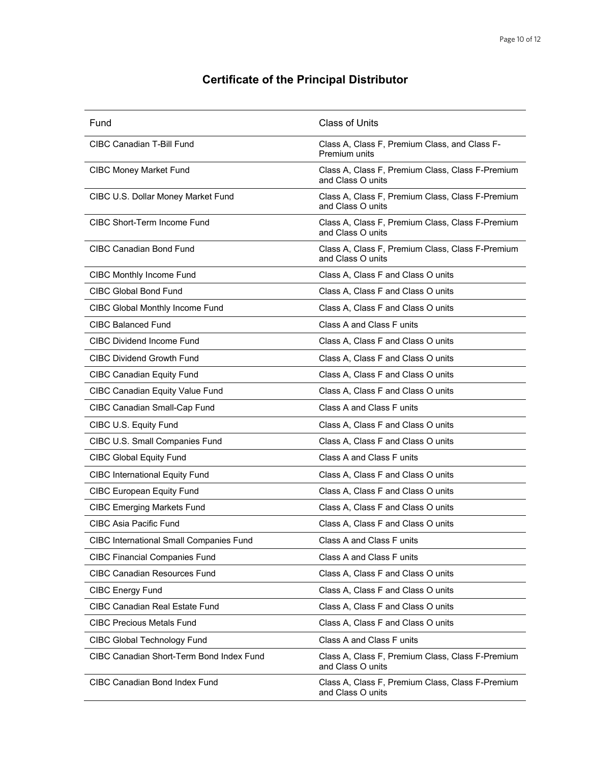# **Certificate of the Principal Distributor**

| Fund                                           | <b>Class of Units</b>                                                 |
|------------------------------------------------|-----------------------------------------------------------------------|
| CIBC Canadian T-Bill Fund                      | Class A, Class F, Premium Class, and Class F-<br>Premium units        |
| <b>CIBC Money Market Fund</b>                  | Class A, Class F, Premium Class, Class F-Premium<br>and Class O units |
| CIBC U.S. Dollar Money Market Fund             | Class A, Class F, Premium Class, Class F-Premium<br>and Class O units |
| <b>CIBC Short-Term Income Fund</b>             | Class A, Class F, Premium Class, Class F-Premium<br>and Class O units |
| <b>CIBC Canadian Bond Fund</b>                 | Class A, Class F, Premium Class, Class F-Premium<br>and Class O units |
| <b>CIBC Monthly Income Fund</b>                | Class A, Class F and Class O units                                    |
| <b>CIBC Global Bond Fund</b>                   | Class A, Class F and Class O units                                    |
| CIBC Global Monthly Income Fund                | Class A, Class F and Class O units                                    |
| <b>CIBC Balanced Fund</b>                      | Class A and Class F units                                             |
| <b>CIBC Dividend Income Fund</b>               | Class A, Class F and Class O units                                    |
| <b>CIBC Dividend Growth Fund</b>               | Class A, Class F and Class O units                                    |
| <b>CIBC Canadian Equity Fund</b>               | Class A, Class F and Class O units                                    |
| <b>CIBC Canadian Equity Value Fund</b>         | Class A, Class F and Class O units                                    |
| CIBC Canadian Small-Cap Fund                   | Class A and Class F units                                             |
| CIBC U.S. Equity Fund                          | Class A, Class F and Class O units                                    |
| CIBC U.S. Small Companies Fund                 | Class A, Class F and Class O units                                    |
| <b>CIBC Global Equity Fund</b>                 | Class A and Class F units                                             |
| <b>CIBC International Equity Fund</b>          | Class A, Class F and Class O units                                    |
| <b>CIBC European Equity Fund</b>               | Class A, Class F and Class O units                                    |
| <b>CIBC Emerging Markets Fund</b>              | Class A, Class F and Class O units                                    |
| <b>CIBC Asia Pacific Fund</b>                  | Class A, Class F and Class O units                                    |
| <b>CIBC International Small Companies Fund</b> | Class A and Class F units                                             |
| <b>CIBC Financial Companies Fund</b>           | Class A and Class F units                                             |
| <b>CIBC Canadian Resources Fund</b>            | Class A, Class F and Class O units                                    |
| <b>CIBC Energy Fund</b>                        | Class A, Class F and Class O units                                    |
| <b>CIBC Canadian Real Estate Fund</b>          | Class A, Class F and Class O units                                    |
| <b>CIBC Precious Metals Fund</b>               | Class A, Class F and Class O units                                    |
| CIBC Global Technology Fund                    | Class A and Class F units                                             |
| CIBC Canadian Short-Term Bond Index Fund       | Class A, Class F, Premium Class, Class F-Premium<br>and Class O units |
| <b>CIBC Canadian Bond Index Fund</b>           | Class A, Class F, Premium Class, Class F-Premium<br>and Class O units |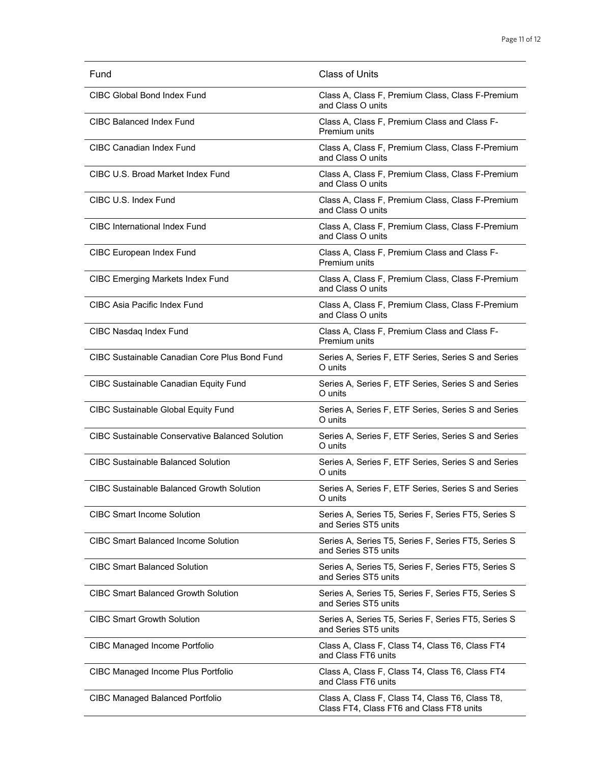| Fund                                                   | Class of Units                                                                              |
|--------------------------------------------------------|---------------------------------------------------------------------------------------------|
| CIBC Global Bond Index Fund                            | Class A, Class F, Premium Class, Class F-Premium<br>and Class O units                       |
| CIBC Balanced Index Fund                               | Class A, Class F, Premium Class and Class F-<br>Premium units                               |
| CIBC Canadian Index Fund                               | Class A, Class F, Premium Class, Class F-Premium<br>and Class O units                       |
| CIBC U.S. Broad Market Index Fund                      | Class A, Class F, Premium Class, Class F-Premium<br>and Class O units                       |
| CIBC U.S. Index Fund                                   | Class A, Class F, Premium Class, Class F-Premium<br>and Class O units                       |
| <b>CIBC</b> International Index Fund                   | Class A, Class F, Premium Class, Class F-Premium<br>and Class O units                       |
| <b>CIBC European Index Fund</b>                        | Class A, Class F, Premium Class and Class F-<br>Premium units                               |
| <b>CIBC Emerging Markets Index Fund</b>                | Class A, Class F, Premium Class, Class F-Premium<br>and Class O units                       |
| CIBC Asia Pacific Index Fund                           | Class A, Class F, Premium Class, Class F-Premium<br>and Class O units                       |
| CIBC Nasdaq Index Fund                                 | Class A, Class F, Premium Class and Class F-<br>Premium units                               |
| CIBC Sustainable Canadian Core Plus Bond Fund          | Series A, Series F, ETF Series, Series S and Series<br>O units                              |
| <b>CIBC Sustainable Canadian Equity Fund</b>           | Series A, Series F, ETF Series, Series S and Series<br>O units                              |
| <b>CIBC Sustainable Global Equity Fund</b>             | Series A, Series F, ETF Series, Series S and Series<br>O units                              |
| <b>CIBC Sustainable Conservative Balanced Solution</b> | Series A, Series F, ETF Series, Series S and Series<br>O units                              |
| <b>CIBC Sustainable Balanced Solution</b>              | Series A, Series F, ETF Series, Series S and Series<br>O units                              |
| <b>CIBC Sustainable Balanced Growth Solution</b>       | Series A, Series F, ETF Series, Series S and Series<br>∪ units                              |
| <b>CIBC Smart Income Solution</b>                      | Series A, Series T5, Series F, Series FT5, Series S<br>and Series ST5 units                 |
| <b>CIBC Smart Balanced Income Solution</b>             | Series A, Series T5, Series F, Series FT5, Series S<br>and Series ST5 units                 |
| <b>CIBC Smart Balanced Solution</b>                    | Series A, Series T5, Series F, Series FT5, Series S<br>and Series ST5 units                 |
| <b>CIBC Smart Balanced Growth Solution</b>             | Series A, Series T5, Series F, Series FT5, Series S<br>and Series ST5 units                 |
| <b>CIBC Smart Growth Solution</b>                      | Series A, Series T5, Series F, Series FT5, Series S<br>and Series ST5 units                 |
| <b>CIBC Managed Income Portfolio</b>                   | Class A, Class F, Class T4, Class T6, Class FT4<br>and Class FT6 units                      |
| CIBC Managed Income Plus Portfolio                     | Class A, Class F, Class T4, Class T6, Class FT4<br>and Class FT6 units                      |
| <b>CIBC Managed Balanced Portfolio</b>                 | Class A, Class F, Class T4, Class T6, Class T8,<br>Class FT4, Class FT6 and Class FT8 units |